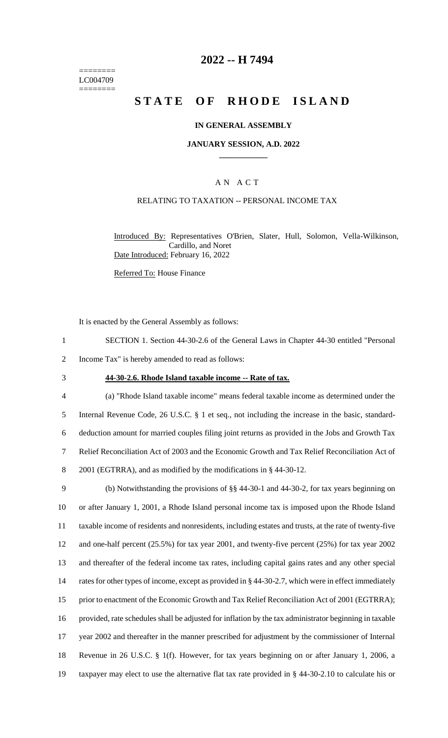======== LC004709 ========

### **2022 -- H 7494**

# **STATE OF RHODE ISLAND**

### **IN GENERAL ASSEMBLY**

### **JANUARY SESSION, A.D. 2022 \_\_\_\_\_\_\_\_\_\_\_\_**

### A N A C T

### RELATING TO TAXATION -- PERSONAL INCOME TAX

Introduced By: Representatives O'Brien, Slater, Hull, Solomon, Vella-Wilkinson, Cardillo, and Noret Date Introduced: February 16, 2022

Referred To: House Finance

It is enacted by the General Assembly as follows:

- 1 SECTION 1. Section 44-30-2.6 of the General Laws in Chapter 44-30 entitled "Personal
- 2 Income Tax" is hereby amended to read as follows:
- 

#### 3 **44-30-2.6. Rhode Island taxable income -- Rate of tax.**

 (a) "Rhode Island taxable income" means federal taxable income as determined under the Internal Revenue Code, 26 U.S.C. § 1 et seq., not including the increase in the basic, standard- deduction amount for married couples filing joint returns as provided in the Jobs and Growth Tax Relief Reconciliation Act of 2003 and the Economic Growth and Tax Relief Reconciliation Act of 2001 (EGTRRA), and as modified by the modifications in § 44-30-12.

 (b) Notwithstanding the provisions of §§ 44-30-1 and 44-30-2, for tax years beginning on or after January 1, 2001, a Rhode Island personal income tax is imposed upon the Rhode Island taxable income of residents and nonresidents, including estates and trusts, at the rate of twenty-five and one-half percent (25.5%) for tax year 2001, and twenty-five percent (25%) for tax year 2002 and thereafter of the federal income tax rates, including capital gains rates and any other special 14 rates for other types of income, except as provided in § 44-30-2.7, which were in effect immediately 15 prior to enactment of the Economic Growth and Tax Relief Reconciliation Act of 2001 (EGTRRA); provided, rate schedules shall be adjusted for inflation by the tax administrator beginning in taxable year 2002 and thereafter in the manner prescribed for adjustment by the commissioner of Internal Revenue in 26 U.S.C. § 1(f). However, for tax years beginning on or after January 1, 2006, a taxpayer may elect to use the alternative flat tax rate provided in § 44-30-2.10 to calculate his or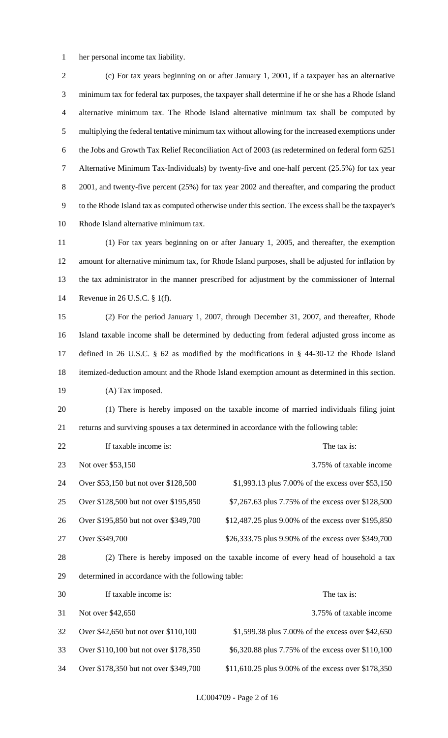her personal income tax liability.

 (c) For tax years beginning on or after January 1, 2001, if a taxpayer has an alternative minimum tax for federal tax purposes, the taxpayer shall determine if he or she has a Rhode Island alternative minimum tax. The Rhode Island alternative minimum tax shall be computed by multiplying the federal tentative minimum tax without allowing for the increased exemptions under the Jobs and Growth Tax Relief Reconciliation Act of 2003 (as redetermined on federal form 6251 Alternative Minimum Tax-Individuals) by twenty-five and one-half percent (25.5%) for tax year 8 2001, and twenty-five percent (25%) for tax year 2002 and thereafter, and comparing the product to the Rhode Island tax as computed otherwise under this section. The excess shall be the taxpayer's Rhode Island alternative minimum tax.

 (1) For tax years beginning on or after January 1, 2005, and thereafter, the exemption amount for alternative minimum tax, for Rhode Island purposes, shall be adjusted for inflation by the tax administrator in the manner prescribed for adjustment by the commissioner of Internal Revenue in 26 U.S.C. § 1(f).

 (2) For the period January 1, 2007, through December 31, 2007, and thereafter, Rhode Island taxable income shall be determined by deducting from federal adjusted gross income as defined in 26 U.S.C. § 62 as modified by the modifications in § 44-30-12 the Rhode Island itemized-deduction amount and the Rhode Island exemption amount as determined in this section. 19 (A) Tax imposed.

 (1) There is hereby imposed on the taxable income of married individuals filing joint returns and surviving spouses a tax determined in accordance with the following table:

| 22 | If taxable income is:                 | The tax is:                                                                              |
|----|---------------------------------------|------------------------------------------------------------------------------------------|
| 23 | Not over \$53,150                     | 3.75% of taxable income                                                                  |
| 24 | Over \$53,150 but not over \$128,500  | \$1,993.13 plus 7.00% of the excess over \$53,150                                        |
| 25 | Over \$128,500 but not over \$195,850 | \$7,267.63 plus 7.75% of the excess over \$128,500                                       |
| 26 | Over \$195,850 but not over \$349,700 | \$12,487.25 plus 9.00% of the excess over \$195,850                                      |
| 27 | Over \$349,700                        | \$26,333.75 plus 9.90% of the excess over \$349,700                                      |
| ററ |                                       | (9) These is beacher increased on the templete income of cream book of beautifuld a text |

 (2) There is hereby imposed on the taxable income of every head of household a tax determined in accordance with the following table:

| 30 | If taxable income is:                 | The tax is:                                         |
|----|---------------------------------------|-----------------------------------------------------|
| 31 | Not over \$42,650                     | 3.75% of taxable income                             |
| 32 | Over \$42,650 but not over \$110,100  | \$1,599.38 plus 7.00% of the excess over \$42,650   |
| 33 | Over \$110,100 but not over \$178,350 | \$6,320.88 plus 7.75% of the excess over \$110,100  |
| 34 | Over \$178,350 but not over \$349,700 | \$11,610.25 plus 9.00% of the excess over \$178,350 |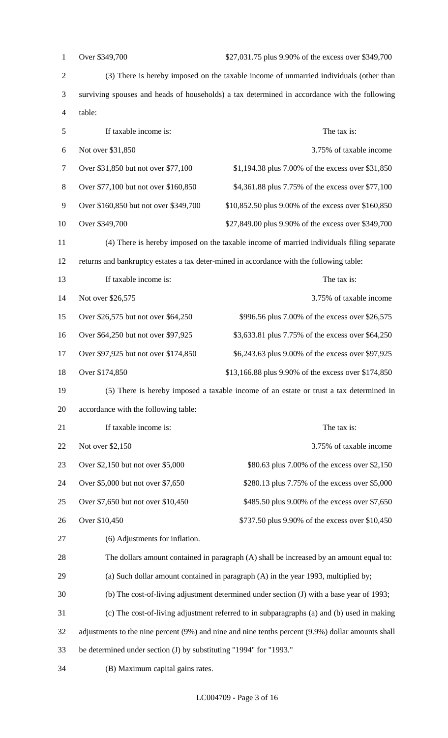| $\mathbf{1}$   | Over \$349,700<br>\$27,031.75 plus 9.90% of the excess over \$349,700                        |                                                                                                   |  |
|----------------|----------------------------------------------------------------------------------------------|---------------------------------------------------------------------------------------------------|--|
| $\sqrt{2}$     | (3) There is hereby imposed on the taxable income of unmarried individuals (other than       |                                                                                                   |  |
| 3              | surviving spouses and heads of households) a tax determined in accordance with the following |                                                                                                   |  |
| $\overline{4}$ | table:                                                                                       |                                                                                                   |  |
| 5              | If taxable income is:<br>The tax is:                                                         |                                                                                                   |  |
| 6              | Not over \$31,850                                                                            | 3.75% of taxable income                                                                           |  |
| $\tau$         | Over \$31,850 but not over \$77,100                                                          | \$1,194.38 plus 7.00% of the excess over \$31,850                                                 |  |
| $8\,$          | Over \$77,100 but not over \$160,850                                                         | \$4,361.88 plus 7.75% of the excess over \$77,100                                                 |  |
| 9              | Over \$160,850 but not over \$349,700                                                        | \$10,852.50 plus 9.00% of the excess over \$160,850                                               |  |
| 10             | Over \$349,700                                                                               | \$27,849.00 plus 9.90% of the excess over \$349,700                                               |  |
| 11             |                                                                                              | (4) There is hereby imposed on the taxable income of married individuals filing separate          |  |
| 12             |                                                                                              | returns and bankruptcy estates a tax deter-mined in accordance with the following table:          |  |
| 13             | If taxable income is:                                                                        | The tax is:                                                                                       |  |
| 14             | Not over \$26,575                                                                            | 3.75% of taxable income                                                                           |  |
| 15             | Over \$26,575 but not over \$64,250                                                          | \$996.56 plus 7.00% of the excess over \$26,575                                                   |  |
| 16             | Over \$64,250 but not over \$97,925                                                          | \$3,633.81 plus 7.75% of the excess over \$64,250                                                 |  |
| 17             | Over \$97,925 but not over \$174,850                                                         | \$6,243.63 plus 9.00% of the excess over \$97,925                                                 |  |
| 18             | Over \$174,850                                                                               | \$13,166.88 plus 9.90% of the excess over \$174,850                                               |  |
| 19             | (5) There is hereby imposed a taxable income of an estate or trust a tax determined in       |                                                                                                   |  |
| 20             | accordance with the following table:                                                         |                                                                                                   |  |
| 21             | If taxable income is:                                                                        | The tax is:                                                                                       |  |
| 22             | Not over \$2,150                                                                             | 3.75% of taxable income                                                                           |  |
| 23             | Over \$2,150 but not over \$5,000                                                            | \$80.63 plus 7.00% of the excess over \$2,150                                                     |  |
| 24             | Over \$5,000 but not over \$7,650                                                            | \$280.13 plus 7.75% of the excess over \$5,000                                                    |  |
| 25             | Over \$7,650 but not over \$10,450                                                           | \$485.50 plus 9.00% of the excess over \$7,650                                                    |  |
| 26             | Over \$10,450<br>\$737.50 plus 9.90% of the excess over \$10,450                             |                                                                                                   |  |
|                |                                                                                              |                                                                                                   |  |
| 27             | (6) Adjustments for inflation.                                                               |                                                                                                   |  |
| 28             |                                                                                              | The dollars amount contained in paragraph (A) shall be increased by an amount equal to:           |  |
| 29             |                                                                                              | (a) Such dollar amount contained in paragraph (A) in the year 1993, multiplied by;                |  |
| 30             |                                                                                              | (b) The cost-of-living adjustment determined under section (J) with a base year of 1993;          |  |
| 31             |                                                                                              | (c) The cost-of-living adjustment referred to in subparagraphs (a) and (b) used in making         |  |
| 32             |                                                                                              | adjustments to the nine percent (9%) and nine and nine tenths percent (9.9%) dollar amounts shall |  |
| 33             | be determined under section (J) by substituting "1994" for "1993."                           |                                                                                                   |  |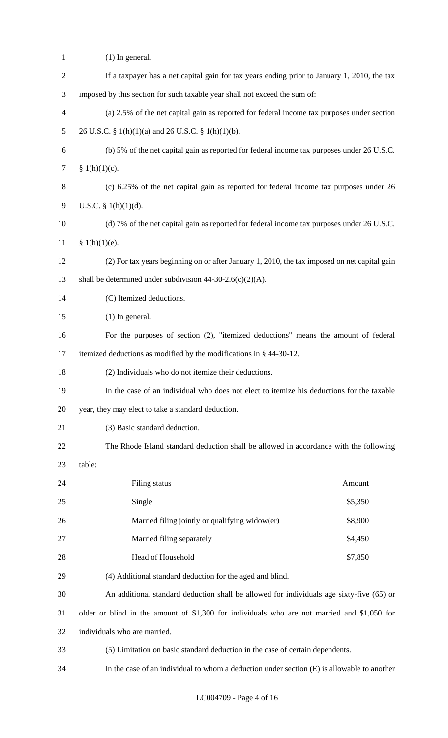| $\mathbf{1}$   | $(1)$ In general.                                                                            |         |  |  |
|----------------|----------------------------------------------------------------------------------------------|---------|--|--|
| $\overline{2}$ | If a taxpayer has a net capital gain for tax years ending prior to January 1, 2010, the tax  |         |  |  |
| 3              | imposed by this section for such taxable year shall not exceed the sum of:                   |         |  |  |
| 4              | (a) 2.5% of the net capital gain as reported for federal income tax purposes under section   |         |  |  |
| 5              | 26 U.S.C. § 1(h)(1)(a) and 26 U.S.C. § 1(h)(1)(b).                                           |         |  |  |
| 6              | (b) 5% of the net capital gain as reported for federal income tax purposes under 26 U.S.C.   |         |  |  |
| $\overline{7}$ | § $1(h)(1)(c)$ .                                                                             |         |  |  |
| 8              | (c) 6.25% of the net capital gain as reported for federal income tax purposes under 26       |         |  |  |
| 9              | U.S.C. § $1(h)(1)(d)$ .                                                                      |         |  |  |
| 10             | (d) 7% of the net capital gain as reported for federal income tax purposes under 26 U.S.C.   |         |  |  |
| 11             | § 1(h)(1)(e).                                                                                |         |  |  |
| 12             | (2) For tax years beginning on or after January 1, 2010, the tax imposed on net capital gain |         |  |  |
| 13             | shall be determined under subdivision $44-30-2.6(c)(2)(A)$ .                                 |         |  |  |
| 14             | (C) Itemized deductions.                                                                     |         |  |  |
| 15             | $(1)$ In general.                                                                            |         |  |  |
| 16             | For the purposes of section (2), "itemized deductions" means the amount of federal           |         |  |  |
| 17             | itemized deductions as modified by the modifications in § 44-30-12.                          |         |  |  |
| 18             | (2) Individuals who do not itemize their deductions.                                         |         |  |  |
| 19             | In the case of an individual who does not elect to itemize his deductions for the taxable    |         |  |  |
| 20             | year, they may elect to take a standard deduction.                                           |         |  |  |
| 21             | (3) Basic standard deduction.                                                                |         |  |  |
| 22             | The Rhode Island standard deduction shall be allowed in accordance with the following        |         |  |  |
| 23             | table:                                                                                       |         |  |  |
| 24             | Filing status                                                                                | Amount  |  |  |
| 25             | Single                                                                                       | \$5,350 |  |  |
| 26             | Married filing jointly or qualifying widow(er)                                               | \$8,900 |  |  |
| 27             | Married filing separately                                                                    | \$4,450 |  |  |
| 28             | Head of Household                                                                            | \$7,850 |  |  |
| 29             | (4) Additional standard deduction for the aged and blind.                                    |         |  |  |
| 30             | An additional standard deduction shall be allowed for individuals age sixty-five (65) or     |         |  |  |
| 31             | older or blind in the amount of \$1,300 for individuals who are not married and \$1,050 for  |         |  |  |
| 32             | individuals who are married.                                                                 |         |  |  |
| 33             | (5) Limitation on basic standard deduction in the case of certain dependents.                |         |  |  |
| 34             | In the case of an individual to whom a deduction under section (E) is allowable to another   |         |  |  |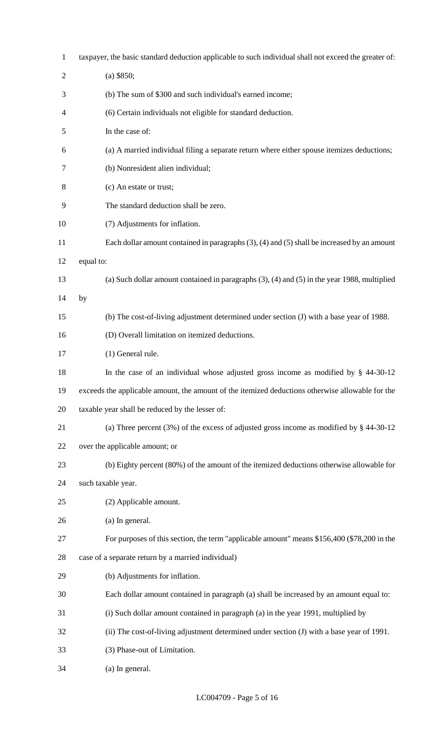| $\mathbf{1}$   | taxpayer, the basic standard deduction applicable to such individual shall not exceed the greater of: |
|----------------|-------------------------------------------------------------------------------------------------------|
| $\overline{2}$ | $(a)$ \$850;                                                                                          |
| 3              | (b) The sum of \$300 and such individual's earned income;                                             |
| 4              | (6) Certain individuals not eligible for standard deduction.                                          |
| 5              | In the case of:                                                                                       |
| 6              | (a) A married individual filing a separate return where either spouse itemizes deductions;            |
| 7              | (b) Nonresident alien individual;                                                                     |
| 8              | (c) An estate or trust;                                                                               |
| 9              | The standard deduction shall be zero.                                                                 |
| 10             | (7) Adjustments for inflation.                                                                        |
| 11             | Each dollar amount contained in paragraphs $(3)$ , $(4)$ and $(5)$ shall be increased by an amount    |
| 12             | equal to:                                                                                             |
| 13             | (a) Such dollar amount contained in paragraphs $(3)$ , $(4)$ and $(5)$ in the year 1988, multiplied   |
| 14             | by                                                                                                    |
| 15             | (b) The cost-of-living adjustment determined under section (J) with a base year of 1988.              |
| 16             | (D) Overall limitation on itemized deductions.                                                        |
| 17             | (1) General rule.                                                                                     |
| 18             | In the case of an individual whose adjusted gross income as modified by $\S$ 44-30-12                 |
| 19             | exceeds the applicable amount, the amount of the itemized deductions otherwise allowable for the      |
| 20             | taxable year shall be reduced by the lesser of:                                                       |
| 21             | (a) Three percent $(3\%)$ of the excess of adjusted gross income as modified by § 44-30-12            |
| 22             | over the applicable amount; or                                                                        |
| 23             | (b) Eighty percent (80%) of the amount of the itemized deductions otherwise allowable for             |
| 24             | such taxable year.                                                                                    |
| 25             | (2) Applicable amount.                                                                                |
| 26             | (a) In general.                                                                                       |
| 27             | For purposes of this section, the term "applicable amount" means \$156,400 (\$78,200 in the           |
| 28             | case of a separate return by a married individual)                                                    |
| 29             | (b) Adjustments for inflation.                                                                        |
| 30             | Each dollar amount contained in paragraph (a) shall be increased by an amount equal to:               |
| 31             | (i) Such dollar amount contained in paragraph (a) in the year 1991, multiplied by                     |
| 32             | (ii) The cost-of-living adjustment determined under section (J) with a base year of 1991.             |
| 33             | (3) Phase-out of Limitation.                                                                          |
| 34             | (a) In general.                                                                                       |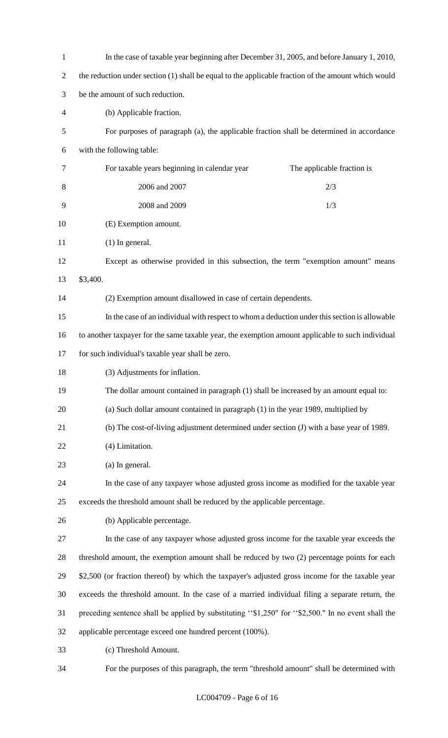| $\mathbf{1}$   | In the case of taxable year beginning after December 31, 2005, and before January 1, 2010,          |  |  |
|----------------|-----------------------------------------------------------------------------------------------------|--|--|
| $\overline{2}$ | the reduction under section (1) shall be equal to the applicable fraction of the amount which would |  |  |
| 3              | be the amount of such reduction.                                                                    |  |  |
| 4              | (b) Applicable fraction.                                                                            |  |  |
| 5              | For purposes of paragraph (a), the applicable fraction shall be determined in accordance            |  |  |
| 6              | with the following table:                                                                           |  |  |
| 7              | For taxable years beginning in calendar year<br>The applicable fraction is                          |  |  |
| 8              | 2006 and 2007<br>2/3                                                                                |  |  |
| 9              | 2008 and 2009<br>1/3                                                                                |  |  |
| 10             | (E) Exemption amount.                                                                               |  |  |
| 11             | $(1)$ In general.                                                                                   |  |  |
| 12             | Except as otherwise provided in this subsection, the term "exemption amount" means                  |  |  |
| 13             | \$3,400.                                                                                            |  |  |
| 14             | (2) Exemption amount disallowed in case of certain dependents.                                      |  |  |
| 15             | In the case of an individual with respect to whom a deduction under this section is allowable       |  |  |
| 16             | to another taxpayer for the same taxable year, the exemption amount applicable to such individual   |  |  |
| 17             | for such individual's taxable year shall be zero.                                                   |  |  |
| 18             | (3) Adjustments for inflation.                                                                      |  |  |
| 19             | The dollar amount contained in paragraph (1) shall be increased by an amount equal to:              |  |  |
| 20             | (a) Such dollar amount contained in paragraph (1) in the year 1989, multiplied by                   |  |  |
| 21             | (b) The cost-of-living adjustment determined under section (J) with a base year of 1989.            |  |  |
| 22             | (4) Limitation.                                                                                     |  |  |
| 23             | (a) In general.                                                                                     |  |  |
| 24             | In the case of any taxpayer whose adjusted gross income as modified for the taxable year            |  |  |
| 25             | exceeds the threshold amount shall be reduced by the applicable percentage.                         |  |  |
| 26             | (b) Applicable percentage.                                                                          |  |  |
| 27             | In the case of any taxpayer whose adjusted gross income for the taxable year exceeds the            |  |  |
| 28             | threshold amount, the exemption amount shall be reduced by two (2) percentage points for each       |  |  |
| 29             | \$2,500 (or fraction thereof) by which the taxpayer's adjusted gross income for the taxable year    |  |  |
| 30             | exceeds the threshold amount. In the case of a married individual filing a separate return, the     |  |  |
| 31             | preceding sentence shall be applied by substituting "\$1,250" for "\$2,500." In no event shall the  |  |  |
| 32             | applicable percentage exceed one hundred percent (100%).                                            |  |  |
| 33             | (c) Threshold Amount.                                                                               |  |  |
|                |                                                                                                     |  |  |

For the purposes of this paragraph, the term "threshold amount" shall be determined with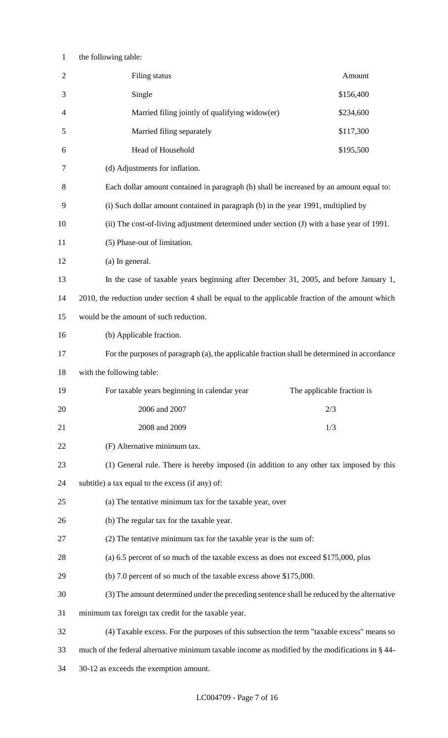## the following table:

| $\mathbf{2}$ | Filing status                                                                                     | Amount                     |  |  |
|--------------|---------------------------------------------------------------------------------------------------|----------------------------|--|--|
| 3            | Single                                                                                            | \$156,400                  |  |  |
| 4            | Married filing jointly of qualifying widow(er)                                                    | \$234,600                  |  |  |
| 5            | Married filing separately                                                                         | \$117,300                  |  |  |
| 6            | Head of Household                                                                                 | \$195,500                  |  |  |
| 7            | (d) Adjustments for inflation.                                                                    |                            |  |  |
| 8            | Each dollar amount contained in paragraph (b) shall be increased by an amount equal to:           |                            |  |  |
| 9            | (i) Such dollar amount contained in paragraph (b) in the year 1991, multiplied by                 |                            |  |  |
| 10           | (ii) The cost-of-living adjustment determined under section (J) with a base year of 1991.         |                            |  |  |
| 11           | (5) Phase-out of limitation.                                                                      |                            |  |  |
| 12           | (a) In general.                                                                                   |                            |  |  |
| 13           | In the case of taxable years beginning after December 31, 2005, and before January 1,             |                            |  |  |
| 14           | 2010, the reduction under section 4 shall be equal to the applicable fraction of the amount which |                            |  |  |
| 15           | would be the amount of such reduction.                                                            |                            |  |  |
| 16           | (b) Applicable fraction.                                                                          |                            |  |  |
| 17           | For the purposes of paragraph (a), the applicable fraction shall be determined in accordance      |                            |  |  |
| 18           | with the following table:                                                                         |                            |  |  |
| 19           | For taxable years beginning in calendar year                                                      | The applicable fraction is |  |  |
| 20           | 2006 and 2007<br>2/3                                                                              |                            |  |  |
| 21           | 2008 and 2009<br>1/3                                                                              |                            |  |  |
| 22           | (F) Alternative minimum tax.                                                                      |                            |  |  |
| 23           | (1) General rule. There is hereby imposed (in addition to any other tax imposed by this           |                            |  |  |
| 24           | subtitle) a tax equal to the excess (if any) of:                                                  |                            |  |  |
| 25           | (a) The tentative minimum tax for the taxable year, over                                          |                            |  |  |
| 26           | (b) The regular tax for the taxable year.                                                         |                            |  |  |
| 27           | (2) The tentative minimum tax for the taxable year is the sum of:                                 |                            |  |  |
| 28           | (a) 6.5 percent of so much of the taxable excess as does not exceed \$175,000, plus               |                            |  |  |
| 29           | (b) 7.0 percent of so much of the taxable excess above \$175,000.                                 |                            |  |  |
| 30           | (3) The amount determined under the preceding sentence shall be reduced by the alternative        |                            |  |  |
| 31           | minimum tax foreign tax credit for the taxable year.                                              |                            |  |  |
|              |                                                                                                   |                            |  |  |
| 32           | (4) Taxable excess. For the purposes of this subsection the term "taxable excess" means so        |                            |  |  |
| 33           | much of the federal alternative minimum taxable income as modified by the modifications in § 44-  |                            |  |  |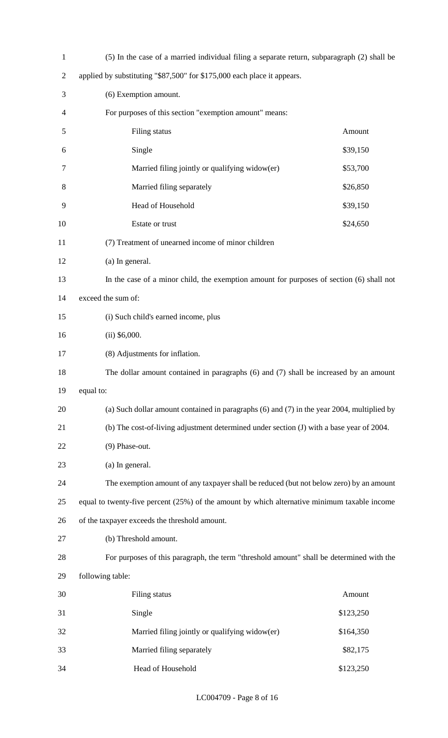| $\mathbf{1}$   | (5) In the case of a married individual filing a separate return, subparagraph (2) shall be    |           |  |  |  |
|----------------|------------------------------------------------------------------------------------------------|-----------|--|--|--|
| $\overline{2}$ | applied by substituting "\$87,500" for \$175,000 each place it appears.                        |           |  |  |  |
| 3              | (6) Exemption amount.                                                                          |           |  |  |  |
| 4              | For purposes of this section "exemption amount" means:                                         |           |  |  |  |
| 5              | Filing status<br>Amount                                                                        |           |  |  |  |
| 6              | Single<br>\$39,150                                                                             |           |  |  |  |
| 7              | Married filing jointly or qualifying widow(er)<br>\$53,700                                     |           |  |  |  |
| 8              | Married filing separately<br>\$26,850                                                          |           |  |  |  |
| 9              | Head of Household<br>\$39,150                                                                  |           |  |  |  |
| 10             | Estate or trust<br>\$24,650                                                                    |           |  |  |  |
| 11             | (7) Treatment of unearned income of minor children                                             |           |  |  |  |
| 12             | (a) In general.                                                                                |           |  |  |  |
| 13             | In the case of a minor child, the exemption amount for purposes of section (6) shall not       |           |  |  |  |
| 14             | exceed the sum of:                                                                             |           |  |  |  |
| 15             | (i) Such child's earned income, plus                                                           |           |  |  |  |
| 16             | $(ii)$ \$6,000.                                                                                |           |  |  |  |
| 17             | (8) Adjustments for inflation.                                                                 |           |  |  |  |
| 18             | The dollar amount contained in paragraphs (6) and (7) shall be increased by an amount          |           |  |  |  |
| 19             | equal to:                                                                                      |           |  |  |  |
| 20             | (a) Such dollar amount contained in paragraphs $(6)$ and $(7)$ in the year 2004, multiplied by |           |  |  |  |
| 21             | (b) The cost-of-living adjustment determined under section (J) with a base year of 2004.       |           |  |  |  |
| 22             | (9) Phase-out.                                                                                 |           |  |  |  |
| 23             | (a) In general.                                                                                |           |  |  |  |
| 24             | The exemption amount of any taxpayer shall be reduced (but not below zero) by an amount        |           |  |  |  |
| 25             | equal to twenty-five percent (25%) of the amount by which alternative minimum taxable income   |           |  |  |  |
| 26             | of the taxpayer exceeds the threshold amount.                                                  |           |  |  |  |
| 27             | (b) Threshold amount.                                                                          |           |  |  |  |
| 28             | For purposes of this paragraph, the term "threshold amount" shall be determined with the       |           |  |  |  |
| 29             | following table:                                                                               |           |  |  |  |
| 30             | Filing status                                                                                  | Amount    |  |  |  |
| 31             | Single                                                                                         | \$123,250 |  |  |  |
| 32             | Married filing jointly or qualifying widow(er)                                                 | \$164,350 |  |  |  |
| 33             | Married filing separately<br>\$82,175                                                          |           |  |  |  |
| 34             | Head of Household                                                                              | \$123,250 |  |  |  |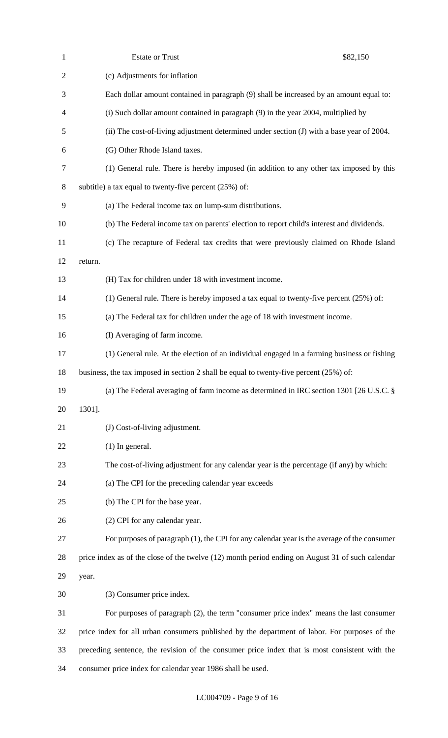| $\mathbf{1}$   | <b>Estate or Trust</b>                                                                           | \$82,150 |  |
|----------------|--------------------------------------------------------------------------------------------------|----------|--|
| $\overline{2}$ | (c) Adjustments for inflation                                                                    |          |  |
| 3              | Each dollar amount contained in paragraph (9) shall be increased by an amount equal to:          |          |  |
| $\overline{4}$ | (i) Such dollar amount contained in paragraph (9) in the year 2004, multiplied by                |          |  |
| 5              | (ii) The cost-of-living adjustment determined under section (J) with a base year of 2004.        |          |  |
| 6              | (G) Other Rhode Island taxes.                                                                    |          |  |
| $\tau$         | (1) General rule. There is hereby imposed (in addition to any other tax imposed by this          |          |  |
| 8              | subtitle) a tax equal to twenty-five percent $(25%)$ of:                                         |          |  |
| 9              | (a) The Federal income tax on lump-sum distributions.                                            |          |  |
| 10             | (b) The Federal income tax on parents' election to report child's interest and dividends.        |          |  |
| 11             | (c) The recapture of Federal tax credits that were previously claimed on Rhode Island            |          |  |
| 12             | return.                                                                                          |          |  |
| 13             | (H) Tax for children under 18 with investment income.                                            |          |  |
| 14             | (1) General rule. There is hereby imposed a tax equal to twenty-five percent $(25%)$ of:         |          |  |
| 15             | (a) The Federal tax for children under the age of 18 with investment income.                     |          |  |
| 16             | (I) Averaging of farm income.                                                                    |          |  |
| 17             | (1) General rule. At the election of an individual engaged in a farming business or fishing      |          |  |
| 18             | business, the tax imposed in section 2 shall be equal to twenty-five percent $(25\%)$ of:        |          |  |
| 19             | (a) The Federal averaging of farm income as determined in IRC section 1301 [26 U.S.C. §          |          |  |
| 20             | 1301].                                                                                           |          |  |
| 21             | (J) Cost-of-living adjustment.                                                                   |          |  |
| 22             | $(1)$ In general.                                                                                |          |  |
| 23             | The cost-of-living adjustment for any calendar year is the percentage (if any) by which:         |          |  |
| 24             | (a) The CPI for the preceding calendar year exceeds                                              |          |  |
| 25             | (b) The CPI for the base year.                                                                   |          |  |
| 26             | (2) CPI for any calendar year.                                                                   |          |  |
| 27             | For purposes of paragraph (1), the CPI for any calendar year is the average of the consumer      |          |  |
| 28             | price index as of the close of the twelve (12) month period ending on August 31 of such calendar |          |  |
| 29             | year.                                                                                            |          |  |
| 30             | (3) Consumer price index.                                                                        |          |  |
| 31             | For purposes of paragraph $(2)$ , the term "consumer price index" means the last consumer        |          |  |
| 32             | price index for all urban consumers published by the department of labor. For purposes of the    |          |  |
| 33             | preceding sentence, the revision of the consumer price index that is most consistent with the    |          |  |
| 34             | consumer price index for calendar year 1986 shall be used.                                       |          |  |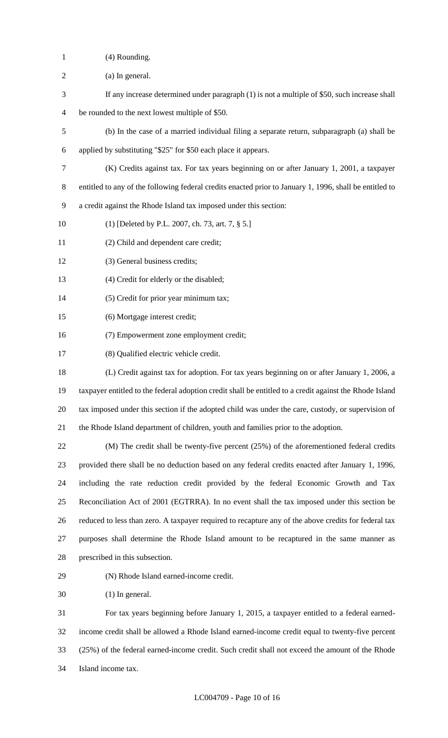- (4) Rounding.
- (a) In general.
- If any increase determined under paragraph (1) is not a multiple of \$50, such increase shall
- be rounded to the next lowest multiple of \$50.
- (b) In the case of a married individual filing a separate return, subparagraph (a) shall be
- applied by substituting "\$25" for \$50 each place it appears.
- (K) Credits against tax. For tax years beginning on or after January 1, 2001, a taxpayer
- entitled to any of the following federal credits enacted prior to January 1, 1996, shall be entitled to
- a credit against the Rhode Island tax imposed under this section:
- (1) [Deleted by P.L. 2007, ch. 73, art. 7, § 5.]
- (2) Child and dependent care credit;
- (3) General business credits;
- (4) Credit for elderly or the disabled;
- (5) Credit for prior year minimum tax;
- (6) Mortgage interest credit;
- (7) Empowerment zone employment credit;
- (8) Qualified electric vehicle credit.
- (L) Credit against tax for adoption. For tax years beginning on or after January 1, 2006, a taxpayer entitled to the federal adoption credit shall be entitled to a credit against the Rhode Island tax imposed under this section if the adopted child was under the care, custody, or supervision of the Rhode Island department of children, youth and families prior to the adoption.

 (M) The credit shall be twenty-five percent (25%) of the aforementioned federal credits provided there shall be no deduction based on any federal credits enacted after January 1, 1996, including the rate reduction credit provided by the federal Economic Growth and Tax Reconciliation Act of 2001 (EGTRRA). In no event shall the tax imposed under this section be reduced to less than zero. A taxpayer required to recapture any of the above credits for federal tax purposes shall determine the Rhode Island amount to be recaptured in the same manner as prescribed in this subsection.

- 
- (N) Rhode Island earned-income credit.

(1) In general.

 For tax years beginning before January 1, 2015, a taxpayer entitled to a federal earned- income credit shall be allowed a Rhode Island earned-income credit equal to twenty-five percent (25%) of the federal earned-income credit. Such credit shall not exceed the amount of the Rhode Island income tax.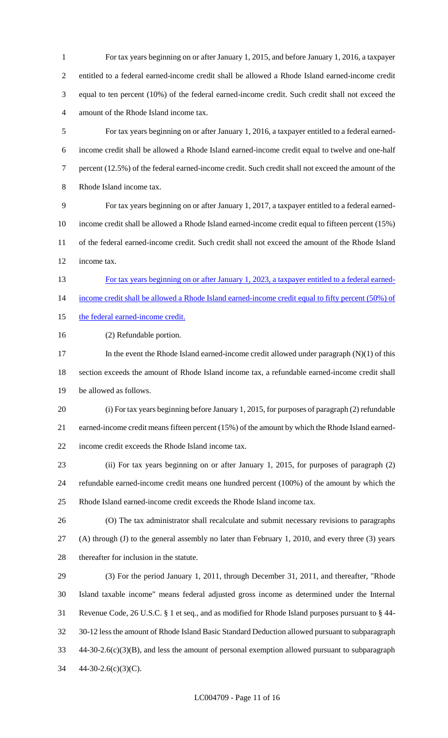For tax years beginning on or after January 1, 2015, and before January 1, 2016, a taxpayer entitled to a federal earned-income credit shall be allowed a Rhode Island earned-income credit equal to ten percent (10%) of the federal earned-income credit. Such credit shall not exceed the amount of the Rhode Island income tax.

 For tax years beginning on or after January 1, 2016, a taxpayer entitled to a federal earned- income credit shall be allowed a Rhode Island earned-income credit equal to twelve and one-half percent (12.5%) of the federal earned-income credit. Such credit shall not exceed the amount of the Rhode Island income tax.

 For tax years beginning on or after January 1, 2017, a taxpayer entitled to a federal earned- income credit shall be allowed a Rhode Island earned-income credit equal to fifteen percent (15%) of the federal earned-income credit. Such credit shall not exceed the amount of the Rhode Island income tax.

For tax years beginning on or after January 1, 2023, a taxpayer entitled to a federal earned-

income credit shall be allowed a Rhode Island earned-income credit equal to fifty percent (50%) of

15 the federal earned-income credit.

(2) Refundable portion.

17 In the event the Rhode Island earned-income credit allowed under paragraph (N)(1) of this section exceeds the amount of Rhode Island income tax, a refundable earned-income credit shall be allowed as follows.

 (i) For tax years beginning before January 1, 2015, for purposes of paragraph (2) refundable earned-income credit means fifteen percent (15%) of the amount by which the Rhode Island earned-income credit exceeds the Rhode Island income tax.

 (ii) For tax years beginning on or after January 1, 2015, for purposes of paragraph (2) refundable earned-income credit means one hundred percent (100%) of the amount by which the Rhode Island earned-income credit exceeds the Rhode Island income tax.

 (O) The tax administrator shall recalculate and submit necessary revisions to paragraphs (A) through (J) to the general assembly no later than February 1, 2010, and every three (3) years thereafter for inclusion in the statute.

 (3) For the period January 1, 2011, through December 31, 2011, and thereafter, "Rhode Island taxable income" means federal adjusted gross income as determined under the Internal Revenue Code, 26 U.S.C. § 1 et seq., and as modified for Rhode Island purposes pursuant to § 44- 30-12 less the amount of Rhode Island Basic Standard Deduction allowed pursuant to subparagraph 44-30-2.6(c)(3)(B), and less the amount of personal exemption allowed pursuant to subparagraph 44-30-2.6(c)(3)(C).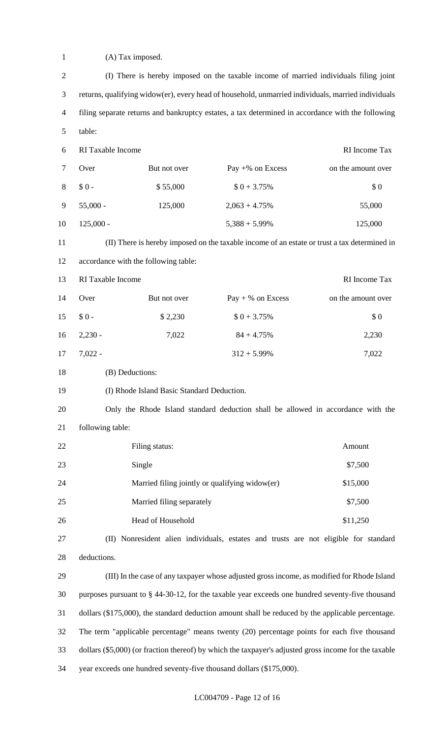| $\mathbf{1}$   | (A) Tax imposed.                                                                                      |                                                |                                                                                              |                    |
|----------------|-------------------------------------------------------------------------------------------------------|------------------------------------------------|----------------------------------------------------------------------------------------------|--------------------|
| $\mathfrak{2}$ | (I) There is hereby imposed on the taxable income of married individuals filing joint                 |                                                |                                                                                              |                    |
| 3              | returns, qualifying widow(er), every head of household, unmarried individuals, married individuals    |                                                |                                                                                              |                    |
| $\overline{4}$ | filing separate returns and bankruptcy estates, a tax determined in accordance with the following     |                                                |                                                                                              |                    |
| $\mathfrak{S}$ | table:                                                                                                |                                                |                                                                                              |                    |
| 6              | RI Taxable Income                                                                                     |                                                |                                                                                              | RI Income Tax      |
| 7              | Over                                                                                                  | But not over                                   | Pay $+$ % on Excess                                                                          | on the amount over |
| 8              | $$0 -$                                                                                                | \$55,000                                       | $$0 + 3.75\%$                                                                                | \$0                |
| 9              | $55,000 -$                                                                                            | 125,000                                        | $2,063 + 4.75\%$                                                                             | 55,000             |
| 10             | $125,000 -$                                                                                           |                                                | $5,388 + 5.99\%$                                                                             | 125,000            |
| 11             |                                                                                                       |                                                | (II) There is hereby imposed on the taxable income of an estate or trust a tax determined in |                    |
| 12             | accordance with the following table:                                                                  |                                                |                                                                                              |                    |
| 13             | RI Taxable Income                                                                                     |                                                |                                                                                              | RI Income Tax      |
| 14             | Over                                                                                                  | But not over                                   | $Pay + % on Excess$                                                                          | on the amount over |
| 15             | $$0 -$                                                                                                | \$2,230                                        | $$0 + 3.75\%$                                                                                | \$0                |
| 16             | $2,230 -$                                                                                             | 7,022                                          | $84 + 4.75%$                                                                                 | 2,230              |
| 17             | $7,022 -$                                                                                             |                                                | $312 + 5.99\%$                                                                               | 7,022              |
| 18             |                                                                                                       | (B) Deductions:                                |                                                                                              |                    |
| 19             | (I) Rhode Island Basic Standard Deduction.                                                            |                                                |                                                                                              |                    |
| 20             | Only the Rhode Island standard deduction shall be allowed in accordance with the                      |                                                |                                                                                              |                    |
| 21             | following table:                                                                                      |                                                |                                                                                              |                    |
| 22             |                                                                                                       | Filing status:                                 |                                                                                              | Amount             |
| 23             |                                                                                                       | Single                                         |                                                                                              | \$7,500            |
| 24             |                                                                                                       | Married filing jointly or qualifying widow(er) |                                                                                              | \$15,000           |
| 25             | \$7,500<br>Married filing separately                                                                  |                                                |                                                                                              |                    |
| 26             | Head of Household<br>\$11,250                                                                         |                                                |                                                                                              |                    |
| 27             | (II) Nonresident alien individuals, estates and trusts are not eligible for standard                  |                                                |                                                                                              |                    |
| 28             | deductions.                                                                                           |                                                |                                                                                              |                    |
| 29             | (III) In the case of any taxpayer whose adjusted gross income, as modified for Rhode Island           |                                                |                                                                                              |                    |
| 30             | purposes pursuant to § 44-30-12, for the taxable year exceeds one hundred seventy-five thousand       |                                                |                                                                                              |                    |
| 31             | dollars (\$175,000), the standard deduction amount shall be reduced by the applicable percentage.     |                                                |                                                                                              |                    |
| 32             | The term "applicable percentage" means twenty (20) percentage points for each five thousand           |                                                |                                                                                              |                    |
| 33             | dollars (\$5,000) (or fraction thereof) by which the taxpayer's adjusted gross income for the taxable |                                                |                                                                                              |                    |

year exceeds one hundred seventy-five thousand dollars (\$175,000).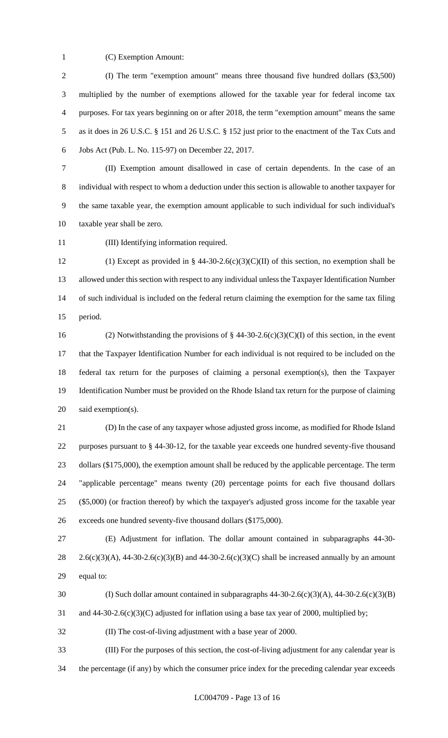(C) Exemption Amount:

 (I) The term "exemption amount" means three thousand five hundred dollars (\$3,500) multiplied by the number of exemptions allowed for the taxable year for federal income tax purposes. For tax years beginning on or after 2018, the term "exemption amount" means the same as it does in 26 U.S.C. § 151 and 26 U.S.C. § 152 just prior to the enactment of the Tax Cuts and Jobs Act (Pub. L. No. 115-97) on December 22, 2017.

 (II) Exemption amount disallowed in case of certain dependents. In the case of an individual with respect to whom a deduction under this section is allowable to another taxpayer for the same taxable year, the exemption amount applicable to such individual for such individual's taxable year shall be zero.

(III) Identifying information required.

12 (1) Except as provided in § 44-30-2.6(c)(3)(C)(II) of this section, no exemption shall be allowed under this section with respect to any individual unless the Taxpayer Identification Number of such individual is included on the federal return claiming the exemption for the same tax filing period.

16 (2) Notwithstanding the provisions of  $\S$  44-30-2.6(c)(3)(C)(I) of this section, in the event that the Taxpayer Identification Number for each individual is not required to be included on the federal tax return for the purposes of claiming a personal exemption(s), then the Taxpayer Identification Number must be provided on the Rhode Island tax return for the purpose of claiming said exemption(s).

 (D) In the case of any taxpayer whose adjusted gross income, as modified for Rhode Island purposes pursuant to § 44-30-12, for the taxable year exceeds one hundred seventy-five thousand 23 dollars (\$175,000), the exemption amount shall be reduced by the applicable percentage. The term "applicable percentage" means twenty (20) percentage points for each five thousand dollars (\$5,000) (or fraction thereof) by which the taxpayer's adjusted gross income for the taxable year exceeds one hundred seventy-five thousand dollars (\$175,000).

 (E) Adjustment for inflation. The dollar amount contained in subparagraphs 44-30- 28 2.6(c)(3)(A), 44-30-2.6(c)(3)(B) and 44-30-2.6(c)(3)(C) shall be increased annually by an amount equal to:

30 (I) Such dollar amount contained in subparagraphs  $44-30-2.6(c)(3)(A)$ ,  $44-30-2.6(c)(3)(B)$ 

31 and 44-30-2.6(c)(3)(C) adjusted for inflation using a base tax year of 2000, multiplied by;

(II) The cost-of-living adjustment with a base year of 2000.

 (III) For the purposes of this section, the cost-of-living adjustment for any calendar year is the percentage (if any) by which the consumer price index for the preceding calendar year exceeds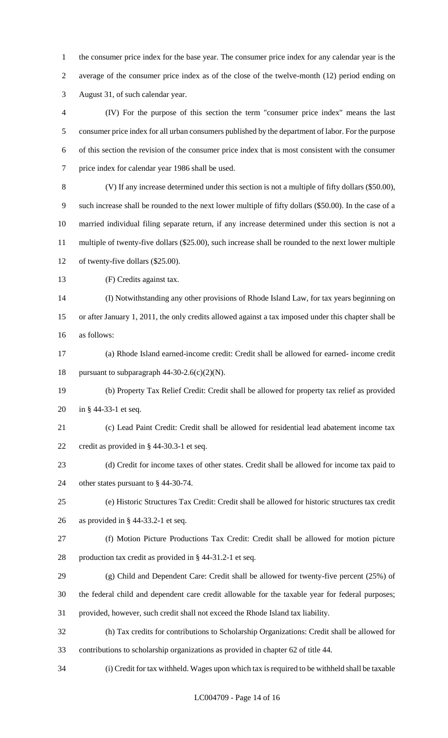the consumer price index for the base year. The consumer price index for any calendar year is the average of the consumer price index as of the close of the twelve-month (12) period ending on August 31, of such calendar year.

 (IV) For the purpose of this section the term "consumer price index" means the last consumer price index for all urban consumers published by the department of labor. For the purpose of this section the revision of the consumer price index that is most consistent with the consumer price index for calendar year 1986 shall be used.

 (V) If any increase determined under this section is not a multiple of fifty dollars (\$50.00), such increase shall be rounded to the next lower multiple of fifty dollars (\$50.00). In the case of a married individual filing separate return, if any increase determined under this section is not a multiple of twenty-five dollars (\$25.00), such increase shall be rounded to the next lower multiple of twenty-five dollars (\$25.00).

13 (F) Credits against tax.

 (I) Notwithstanding any other provisions of Rhode Island Law, for tax years beginning on or after January 1, 2011, the only credits allowed against a tax imposed under this chapter shall be as follows:

 (a) Rhode Island earned-income credit: Credit shall be allowed for earned- income credit 18 pursuant to subparagraph  $44-30-2.6(c)(2)(N)$ .

 (b) Property Tax Relief Credit: Credit shall be allowed for property tax relief as provided in § 44-33-1 et seq.

 (c) Lead Paint Credit: Credit shall be allowed for residential lead abatement income tax credit as provided in § 44-30.3-1 et seq.

(d) Credit for income taxes of other states. Credit shall be allowed for income tax paid to

other states pursuant to § 44-30-74.

 (e) Historic Structures Tax Credit: Credit shall be allowed for historic structures tax credit as provided in § 44-33.2-1 et seq.

(f) Motion Picture Productions Tax Credit: Credit shall be allowed for motion picture

production tax credit as provided in § 44-31.2-1 et seq.

(g) Child and Dependent Care: Credit shall be allowed for twenty-five percent (25%) of

the federal child and dependent care credit allowable for the taxable year for federal purposes;

provided, however, such credit shall not exceed the Rhode Island tax liability.

 (h) Tax credits for contributions to Scholarship Organizations: Credit shall be allowed for contributions to scholarship organizations as provided in chapter 62 of title 44.

(i) Credit for tax withheld. Wages upon which tax is required to be withheld shall be taxable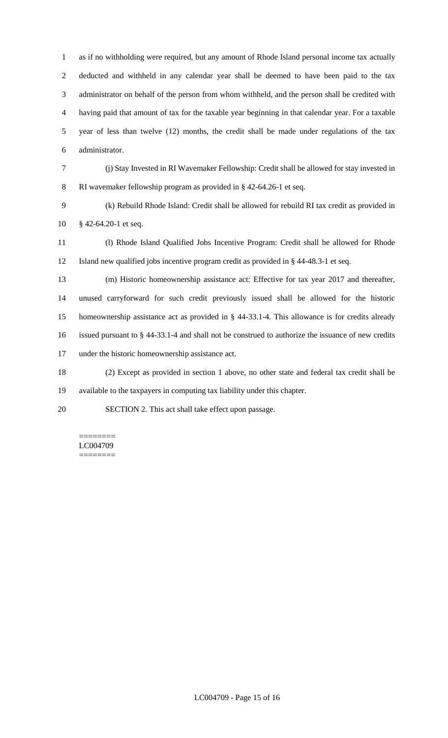as if no withholding were required, but any amount of Rhode Island personal income tax actually deducted and withheld in any calendar year shall be deemed to have been paid to the tax administrator on behalf of the person from whom withheld, and the person shall be credited with having paid that amount of tax for the taxable year beginning in that calendar year. For a taxable year of less than twelve (12) months, the credit shall be made under regulations of the tax administrator.

- (j) Stay Invested in RI Wavemaker Fellowship: Credit shall be allowed for stay invested in RI wavemaker fellowship program as provided in § 42-64.26-1 et seq.
- (k) Rebuild Rhode Island: Credit shall be allowed for rebuild RI tax credit as provided in § 42-64.20-1 et seq.
- (l) Rhode Island Qualified Jobs Incentive Program: Credit shall be allowed for Rhode Island new qualified jobs incentive program credit as provided in § 44-48.3-1 et seq.
- (m) Historic homeownership assistance act: Effective for tax year 2017 and thereafter, unused carryforward for such credit previously issued shall be allowed for the historic homeownership assistance act as provided in § 44-33.1-4. This allowance is for credits already issued pursuant to § 44-33.1-4 and shall not be construed to authorize the issuance of new credits under the historic homeownership assistance act.
- (2) Except as provided in section 1 above, no other state and federal tax credit shall be available to the taxpayers in computing tax liability under this chapter.
- SECTION 2. This act shall take effect upon passage.

======== LC004709 ========